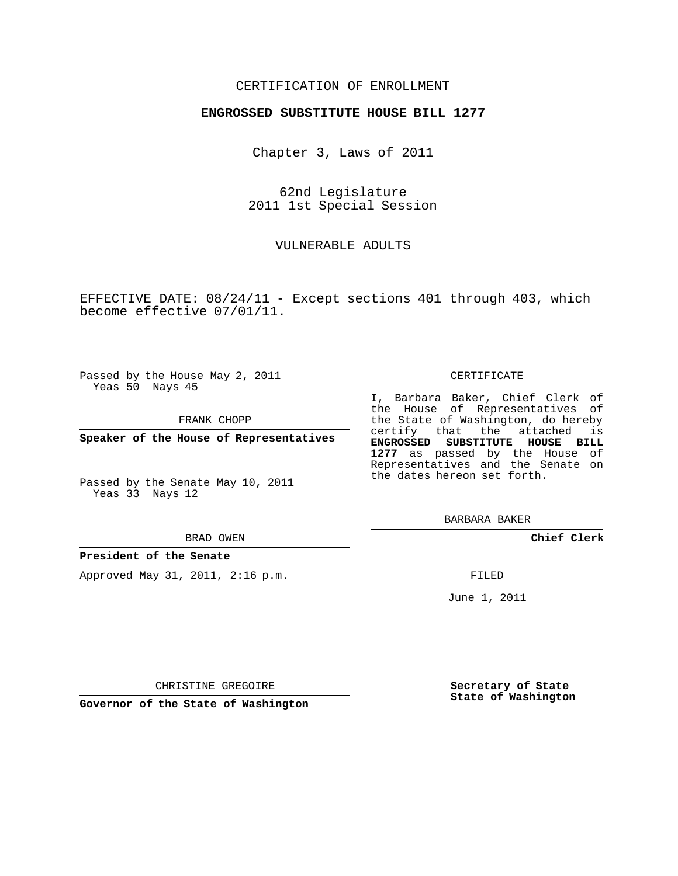### CERTIFICATION OF ENROLLMENT

#### **ENGROSSED SUBSTITUTE HOUSE BILL 1277**

Chapter 3, Laws of 2011

62nd Legislature 2011 1st Special Session

VULNERABLE ADULTS

EFFECTIVE DATE: 08/24/11 - Except sections 401 through 403, which become effective 07/01/11.

Passed by the House May 2, 2011 Yeas 50 Nays 45

FRANK CHOPP

**Speaker of the House of Representatives**

Passed by the Senate May 10, 2011 Yeas 33 Nays 12

#### BRAD OWEN

#### **President of the Senate**

Approved May 31, 2011, 2:16 p.m.

#### CERTIFICATE

I, Barbara Baker, Chief Clerk of the House of Representatives of the State of Washington, do hereby certify that the attached is **ENGROSSED SUBSTITUTE HOUSE BILL 1277** as passed by the House of Representatives and the Senate on the dates hereon set forth.

BARBARA BAKER

**Chief Clerk**

FILED

June 1, 2011

**Secretary of State State of Washington**

CHRISTINE GREGOIRE

**Governor of the State of Washington**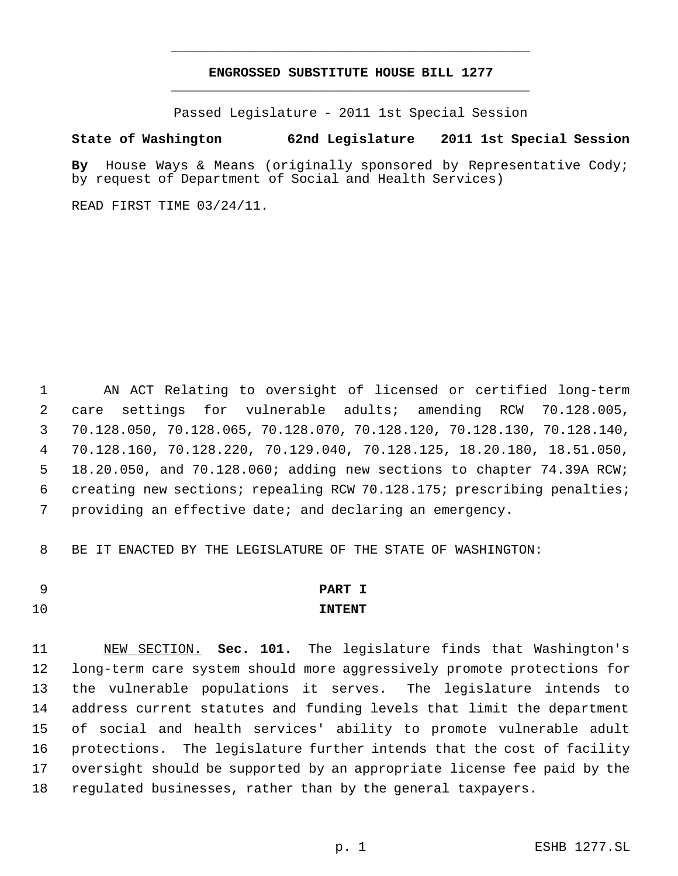# **ENGROSSED SUBSTITUTE HOUSE BILL 1277** \_\_\_\_\_\_\_\_\_\_\_\_\_\_\_\_\_\_\_\_\_\_\_\_\_\_\_\_\_\_\_\_\_\_\_\_\_\_\_\_\_\_\_\_\_

\_\_\_\_\_\_\_\_\_\_\_\_\_\_\_\_\_\_\_\_\_\_\_\_\_\_\_\_\_\_\_\_\_\_\_\_\_\_\_\_\_\_\_\_\_

Passed Legislature - 2011 1st Special Session

### **State of Washington 62nd Legislature 2011 1st Special Session**

**By** House Ways & Means (originally sponsored by Representative Cody; by request of Department of Social and Health Services)

READ FIRST TIME 03/24/11.

 AN ACT Relating to oversight of licensed or certified long-term care settings for vulnerable adults; amending RCW 70.128.005, 70.128.050, 70.128.065, 70.128.070, 70.128.120, 70.128.130, 70.128.140, 70.128.160, 70.128.220, 70.129.040, 70.128.125, 18.20.180, 18.51.050, 18.20.050, and 70.128.060; adding new sections to chapter 74.39A RCW; creating new sections; repealing RCW 70.128.175; prescribing penalties; providing an effective date; and declaring an emergency.

BE IT ENACTED BY THE LEGISLATURE OF THE STATE OF WASHINGTON:

# **PART I**

# **INTENT**

 NEW SECTION. **Sec. 101.** The legislature finds that Washington's long-term care system should more aggressively promote protections for the vulnerable populations it serves. The legislature intends to address current statutes and funding levels that limit the department of social and health services' ability to promote vulnerable adult protections. The legislature further intends that the cost of facility oversight should be supported by an appropriate license fee paid by the regulated businesses, rather than by the general taxpayers.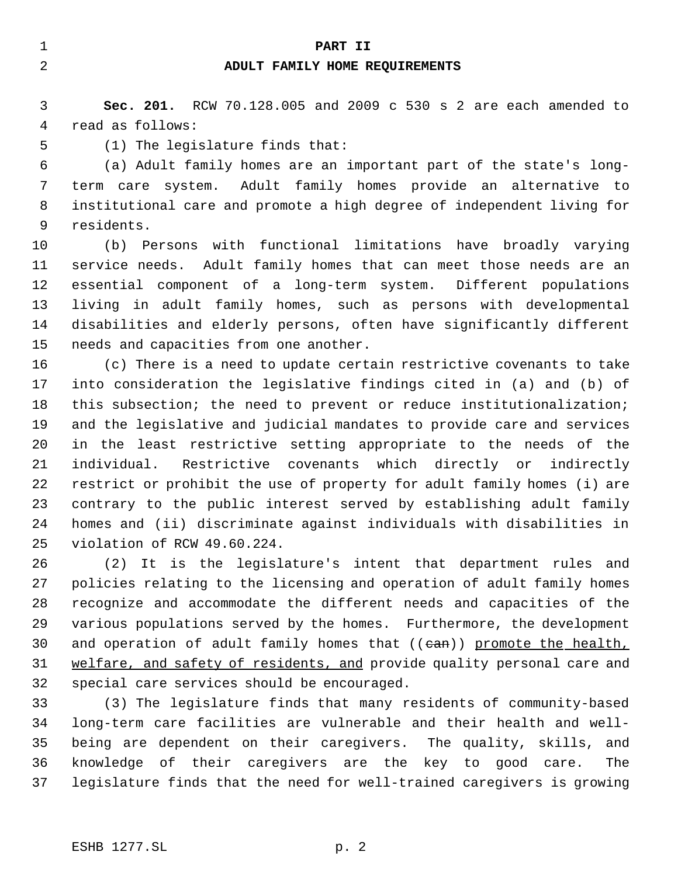#### **PART II**

## **ADULT FAMILY HOME REQUIREMENTS**

 **Sec. 201.** RCW 70.128.005 and 2009 c 530 s 2 are each amended to read as follows:

(1) The legislature finds that:

 (a) Adult family homes are an important part of the state's long- term care system. Adult family homes provide an alternative to institutional care and promote a high degree of independent living for residents.

 (b) Persons with functional limitations have broadly varying service needs. Adult family homes that can meet those needs are an essential component of a long-term system. Different populations living in adult family homes, such as persons with developmental disabilities and elderly persons, often have significantly different needs and capacities from one another.

 (c) There is a need to update certain restrictive covenants to take into consideration the legislative findings cited in (a) and (b) of this subsection; the need to prevent or reduce institutionalization; and the legislative and judicial mandates to provide care and services in the least restrictive setting appropriate to the needs of the individual. Restrictive covenants which directly or indirectly restrict or prohibit the use of property for adult family homes (i) are contrary to the public interest served by establishing adult family homes and (ii) discriminate against individuals with disabilities in violation of RCW 49.60.224.

 (2) It is the legislature's intent that department rules and policies relating to the licensing and operation of adult family homes recognize and accommodate the different needs and capacities of the various populations served by the homes. Furthermore, the development 30 and operation of adult family homes that ((ean)) promote the health, 31 welfare, and safety of residents, and provide quality personal care and special care services should be encouraged.

 (3) The legislature finds that many residents of community-based long-term care facilities are vulnerable and their health and well- being are dependent on their caregivers. The quality, skills, and knowledge of their caregivers are the key to good care. The legislature finds that the need for well-trained caregivers is growing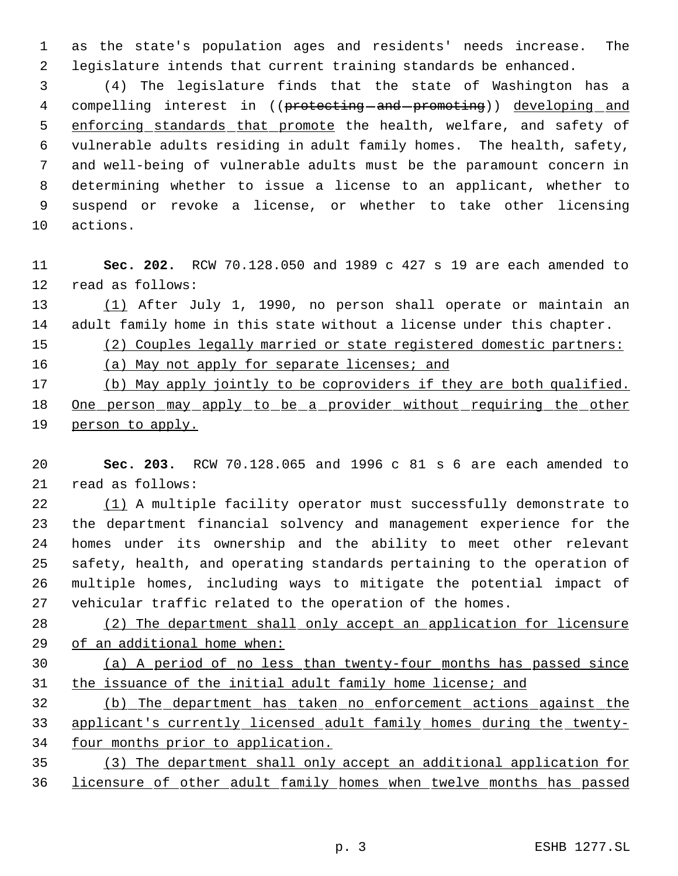as the state's population ages and residents' needs increase. The legislature intends that current training standards be enhanced.

 (4) The legislature finds that the state of Washington has a 4 compelling interest in ((protecting-and-promoting)) developing and 5 enforcing standards that promote the health, welfare, and safety of vulnerable adults residing in adult family homes. The health, safety, and well-being of vulnerable adults must be the paramount concern in determining whether to issue a license to an applicant, whether to suspend or revoke a license, or whether to take other licensing actions.

 **Sec. 202.** RCW 70.128.050 and 1989 c 427 s 19 are each amended to read as follows:

 (1) After July 1, 1990, no person shall operate or maintain an adult family home in this state without a license under this chapter.

(2) Couples legally married or state registered domestic partners:

16 (a) May not apply for separate licenses; and

 (b) May apply jointly to be coproviders if they are both qualified. 18 One person may apply to be a provider without requiring the other 19 person to apply.

 **Sec. 203.** RCW 70.128.065 and 1996 c 81 s 6 are each amended to read as follows:

22 (1) A multiple facility operator must successfully demonstrate to the department financial solvency and management experience for the homes under its ownership and the ability to meet other relevant safety, health, and operating standards pertaining to the operation of multiple homes, including ways to mitigate the potential impact of vehicular traffic related to the operation of the homes.

28 (2) The department shall only accept an application for licensure of an additional home when:

 (a) A period of no less than twenty-four months has passed since the issuance of the initial adult family home license; and

 (b) The department has taken no enforcement actions against the applicant's currently licensed adult family homes during the twenty-four months prior to application.

 (3) The department shall only accept an additional application for licensure of other adult family homes when twelve months has passed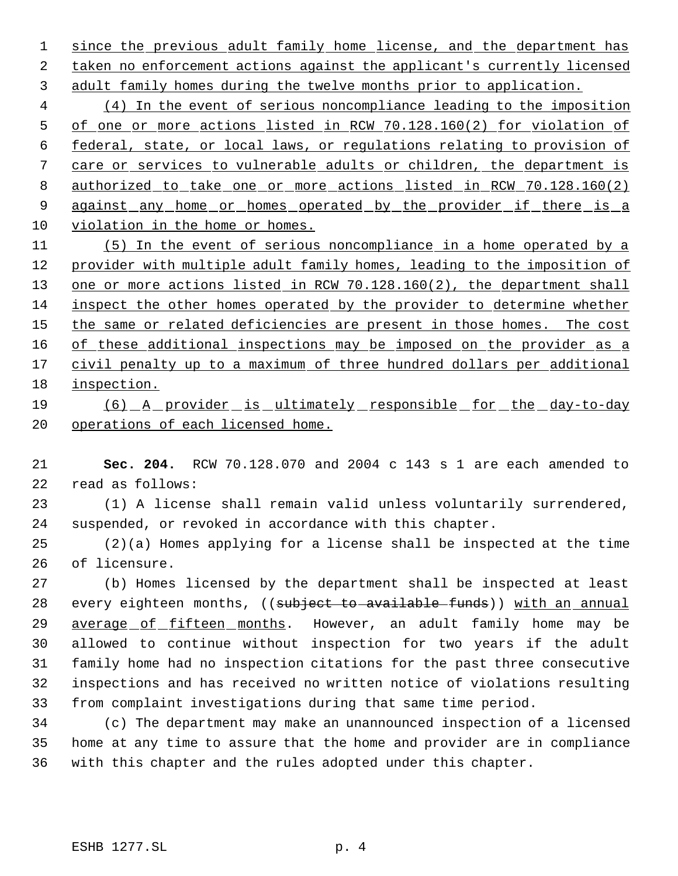1 since the previous adult family home license, and the department has taken no enforcement actions against the applicant's currently licensed adult family homes during the twelve months prior to application.

 (4) In the event of serious noncompliance leading to the imposition of one or more actions listed in RCW 70.128.160(2) for violation of federal, state, or local laws, or regulations relating to provision of care or services to vulnerable adults or children, the department is authorized to take one or more actions listed in RCW 70.128.160(2) 9 against any home or homes operated by the provider if there is a violation in the home or homes.

 (5) In the event of serious noncompliance in a home operated by a provider with multiple adult family homes, leading to the imposition of 13 one or more actions listed in RCW 70.128.160(2), the department shall inspect the other homes operated by the provider to determine whether 15 the same or related deficiencies are present in those homes. The cost 16 of these additional inspections may be imposed on the provider as a 17 civil penalty up to a maximum of three hundred dollars per additional inspection.

# (6) A provider is ultimately responsible for the day-to-day 20 operations of each licensed home.

 **Sec. 204.** RCW 70.128.070 and 2004 c 143 s 1 are each amended to read as follows:

 (1) A license shall remain valid unless voluntarily surrendered, suspended, or revoked in accordance with this chapter.

 (2)(a) Homes applying for a license shall be inspected at the time of licensure.

 (b) Homes licensed by the department shall be inspected at least 28 every eighteen months, ((subject to available funds)) with an annual 29 average of fifteen months. However, an adult family home may be allowed to continue without inspection for two years if the adult family home had no inspection citations for the past three consecutive inspections and has received no written notice of violations resulting from complaint investigations during that same time period.

 (c) The department may make an unannounced inspection of a licensed home at any time to assure that the home and provider are in compliance with this chapter and the rules adopted under this chapter.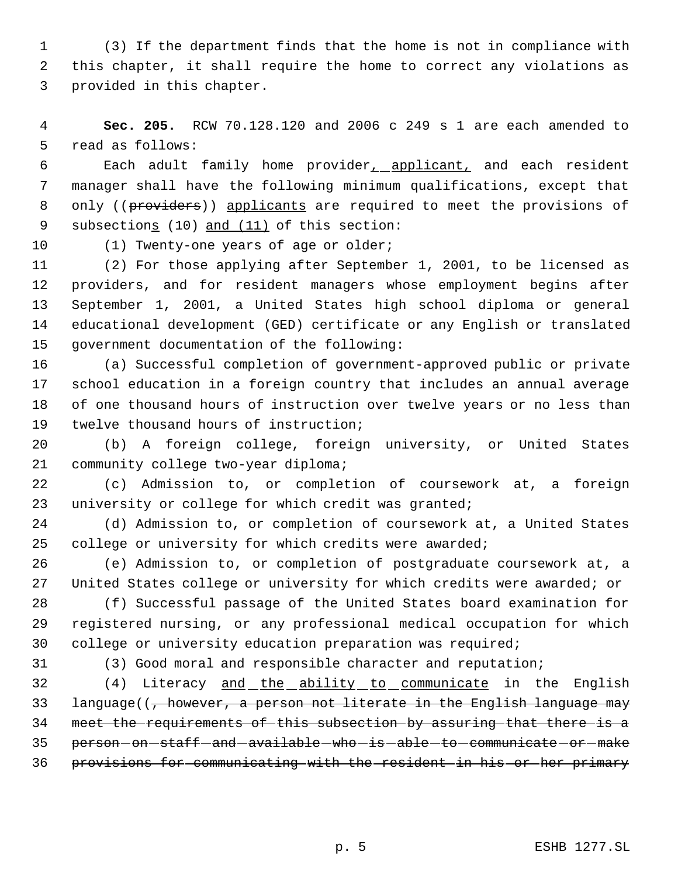(3) If the department finds that the home is not in compliance with this chapter, it shall require the home to correct any violations as provided in this chapter.

 **Sec. 205.** RCW 70.128.120 and 2006 c 249 s 1 are each amended to read as follows:

 Each adult family home provider, applicant, and each resident manager shall have the following minimum qualifications, except that 8 only ((providers)) applicants are required to meet the provisions of subsections (10) and (11) of this section:

(1) Twenty-one years of age or older;

 (2) For those applying after September 1, 2001, to be licensed as providers, and for resident managers whose employment begins after September 1, 2001, a United States high school diploma or general educational development (GED) certificate or any English or translated government documentation of the following:

 (a) Successful completion of government-approved public or private school education in a foreign country that includes an annual average of one thousand hours of instruction over twelve years or no less than twelve thousand hours of instruction;

 (b) A foreign college, foreign university, or United States community college two-year diploma;

 (c) Admission to, or completion of coursework at, a foreign 23 university or college for which credit was granted;

 (d) Admission to, or completion of coursework at, a United States 25 college or university for which credits were awarded;

 (e) Admission to, or completion of postgraduate coursework at, a United States college or university for which credits were awarded; or

 (f) Successful passage of the United States board examination for registered nursing, or any professional medical occupation for which college or university education preparation was required;

(3) Good moral and responsible character and reputation;

32 (4) Literacy and the ability to communicate in the English 33 language((, however, a person not literate in the English language may meet the requirements of this subsection by assuring that there is a 35 person-on-staff-and-available-who-is-able-to-communicate-or-make provisions for communicating with the resident in his or her primary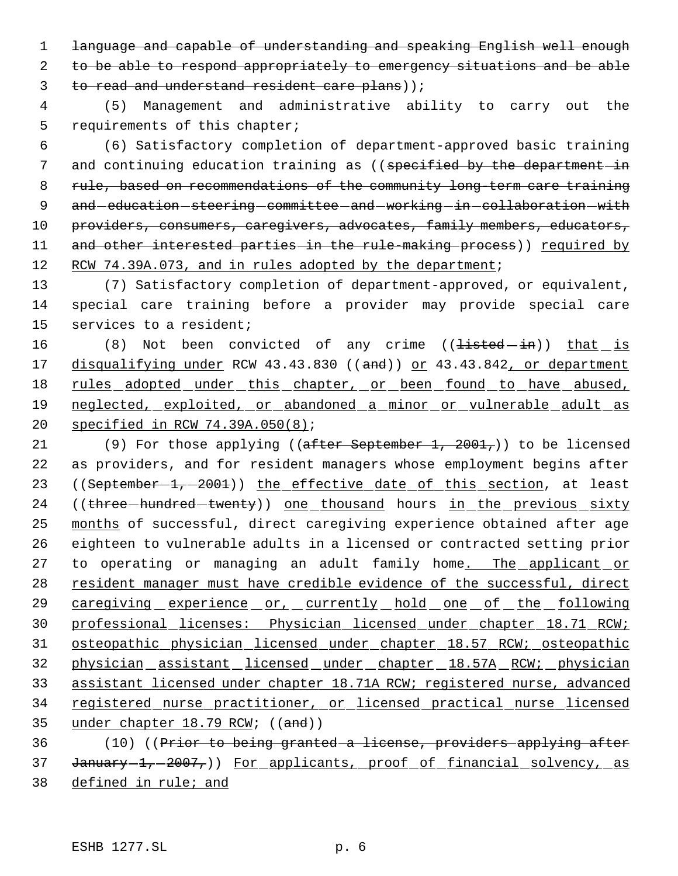1 language and capable of understanding and speaking English well enough 2 to be able to respond appropriately to emergency situations and be able 3 to read and understand resident care plans));

 4 (5) Management and administrative ability to carry out the 5 requirements of this chapter;

 6 (6) Satisfactory completion of department-approved basic training 7 and continuing education training as ((specified by the department in 8 rule, based on recommendations of the community long-term care training 9 and education steering committee and working in collaboration with 10 providers, consumers, caregivers, advocates, family members, educators, 11 and other interested parties in the rule-making process)) required by 12 RCW 74.39A.073, and in rules adopted by the department;

13 (7) Satisfactory completion of department-approved, or equivalent, 14 special care training before a provider may provide special care 15 services to a resident;

16 (8) Not been convicted of any crime ((<del>listed in</del>)) that is 17 disqualifying under RCW 43.43.830 ((and)) or 43.43.842, or department 18 rules adopted under this chapter, or been found to have abused, 19 neglected, exploited, or abandoned a minor or vulnerable adult as 20 specified in RCW 74.39A.050(8);

21 (9) For those applying ((after September 1, 2001,)) to be licensed 22 as providers, and for resident managers whose employment begins after 23 ((September-1,-2001)) the effective date of this section, at least 24 ((three-hundred-twenty)) one thousand hours in the previous sixty 25 months of successful, direct caregiving experience obtained after age 26 eighteen to vulnerable adults in a licensed or contracted setting prior 27 to operating or managing an adult family home. The applicant or 28 resident manager must have credible evidence of the successful, direct 29 caregiving experience or, currently hold one of the following 30 professional licenses: Physician licensed under chapter 18.71 RCW; 31 osteopathic physician licensed under chapter 18.57 RCW; osteopathic 32 physician assistant licensed under chapter 18.57A RCW; physician 33 assistant licensed under chapter 18.71A RCW; registered nurse, advanced 34 registered nurse practitioner, or licensed practical nurse licensed 35 under chapter 18.79 RCW; ((and))

36 (10) ((Prior to being granted a license, providers applying after 37 January-1,-2007,)) For applicants, proof of financial solvency, as 38 defined in rule; and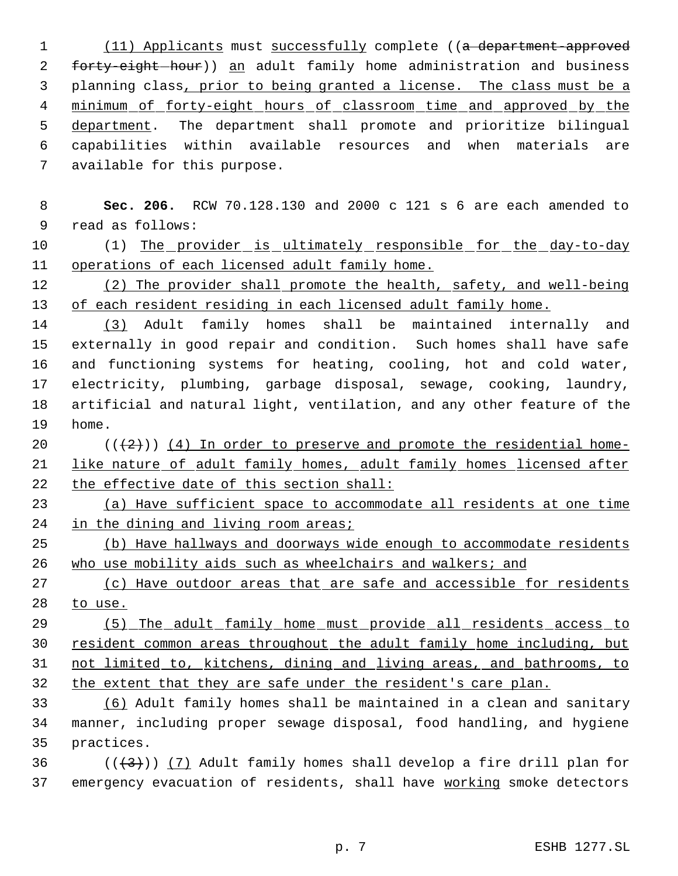1 (11) Applicants must successfully complete ((a department-approved 2 forty-eight-hour)) an adult family home administration and business 3 planning class, prior to being granted a license. The class must be a 4 minimum of forty-eight hours of classroom time and approved by the 5 department. The department shall promote and prioritize bilingual capabilities within available resources and when materials are available for this purpose.

 **Sec. 206.** RCW 70.128.130 and 2000 c 121 s 6 are each amended to read as follows:

10 (1) The provider is ultimately responsible for the day-to-day operations of each licensed adult family home.

12 (2) The provider shall promote the health, safety, and well-being of each resident residing in each licensed adult family home.

 (3) Adult family homes shall be maintained internally and externally in good repair and condition. Such homes shall have safe and functioning systems for heating, cooling, hot and cold water, electricity, plumbing, garbage disposal, sewage, cooking, laundry, artificial and natural light, ventilation, and any other feature of the home.

20  $((+2)^{n})$  (4) In order to preserve and promote the residential home- like nature of adult family homes, adult family homes licensed after the effective date of this section shall:

 (a) Have sufficient space to accommodate all residents at one time 24 in the dining and living room areas;

 (b) Have hallways and doorways wide enough to accommodate residents who use mobility aids such as wheelchairs and walkers; and

27 (c) Have outdoor areas that are safe and accessible for residents to use.

 (5) The adult family home must provide all residents access to 30 resident common areas throughout the adult family home including, but not limited to, kitchens, dining and living areas, and bathrooms, to the extent that they are safe under the resident's care plan.

 (6) Adult family homes shall be maintained in a clean and sanitary manner, including proper sewage disposal, food handling, and hygiene practices.

36  $((+3))$  (7) Adult family homes shall develop a fire drill plan for 37 emergency evacuation of residents, shall have working smoke detectors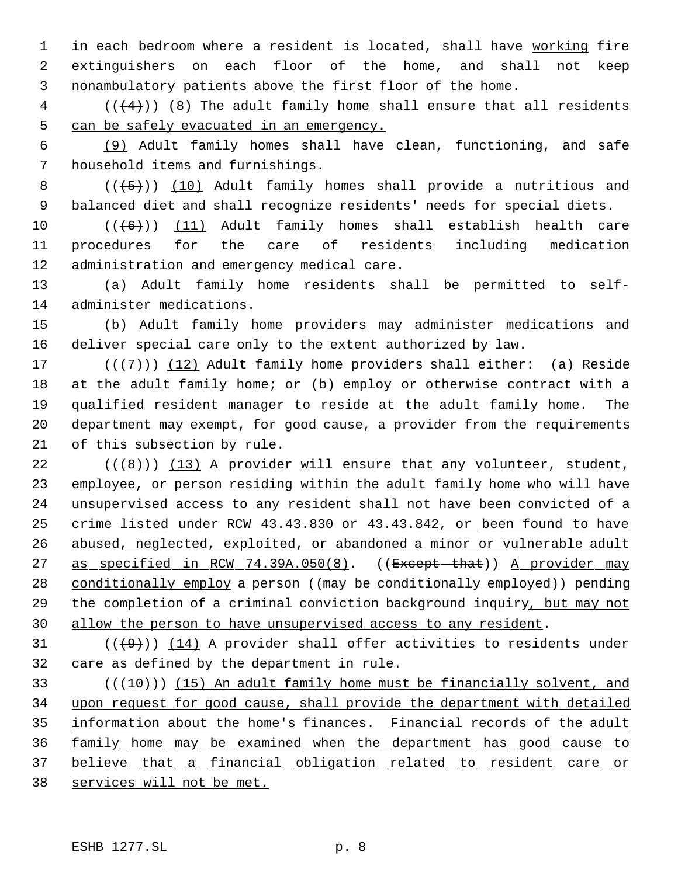1 in each bedroom where a resident is located, shall have working fire extinguishers on each floor of the home, and shall not keep nonambulatory patients above the first floor of the home.

 ( $(\frac{4}{4})$ ) (8) The adult family home shall ensure that all residents can be safely evacuated in an emergency.

 (9) Adult family homes shall have clean, functioning, and safe household items and furnishings.

8  $((+5))$  (10) Adult family homes shall provide a nutritious and balanced diet and shall recognize residents' needs for special diets.

 $((+6))$  (11) Adult family homes shall establish health care procedures for the care of residents including medication administration and emergency medical care.

 (a) Adult family home residents shall be permitted to self-administer medications.

 (b) Adult family home providers may administer medications and deliver special care only to the extent authorized by law.

17 ( $(\overline{+7})$ ) (12) Adult family home providers shall either: (a) Reside at the adult family home; or (b) employ or otherwise contract with a qualified resident manager to reside at the adult family home. The department may exempt, for good cause, a provider from the requirements of this subsection by rule.

 $((\langle 8 \rangle)(13)$  A provider will ensure that any volunteer, student, employee, or person residing within the adult family home who will have unsupervised access to any resident shall not have been convicted of a 25 crime listed under RCW 43.43.830 or 43.43.842, or been found to have abused, neglected, exploited, or abandoned a minor or vulnerable adult 27 as specified in RCW 74.39A.050(8). ((Except-that)) A provider may 28 conditionally employ a person ((may be conditionally employed)) pending the completion of a criminal conviction background inquiry, but may not allow the person to have unsupervised access to any resident.

31  $((+9))$   $(14)$  A provider shall offer activities to residents under care as defined by the department in rule.

 $($  ( $($  $+10$ )))  $(15)$  An adult family home must be financially solvent, and upon request for good cause, shall provide the department with detailed information about the home's finances. Financial records of the adult family home may be examined when the department has good cause to 37 believe that a financial obligation related to resident care or services will not be met.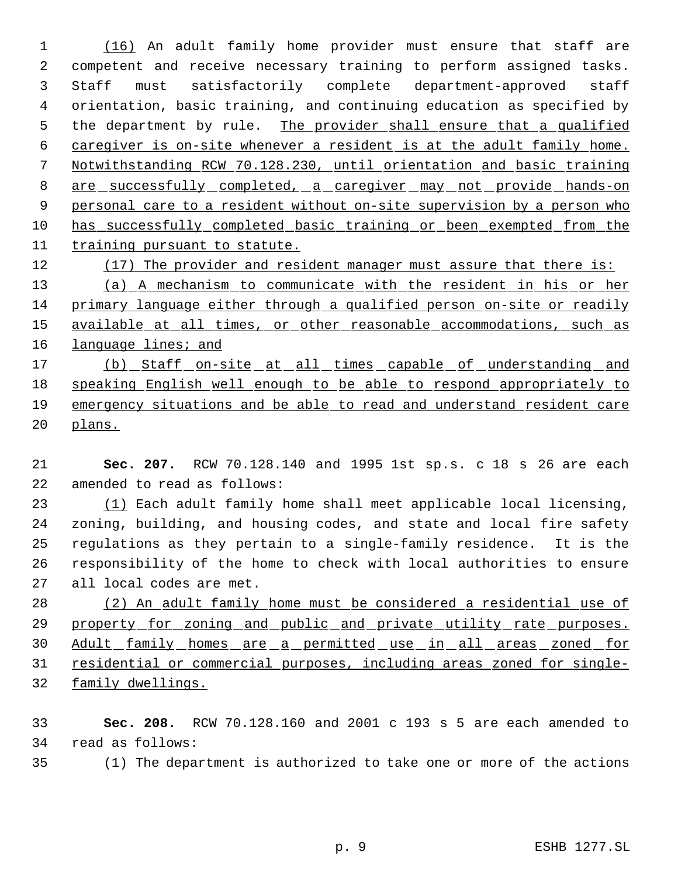(16) An adult family home provider must ensure that staff are competent and receive necessary training to perform assigned tasks. Staff must satisfactorily complete department-approved staff orientation, basic training, and continuing education as specified by 5 the department by rule. The provider shall ensure that a qualified caregiver is on-site whenever a resident is at the adult family home. Notwithstanding RCW 70.128.230, until orientation and basic training 8 are successfully completed, a caregiver may not provide hands-on 9 personal care to a resident without on-site supervision by a person who has successfully completed basic training or been exempted from the training pursuant to statute. 12 (17) The provider and resident manager must assure that there is:

 (a) A mechanism to communicate with the resident in his or her primary language either through a qualified person on-site or readily 15 available at all times, or other reasonable accommodations, such as 16 language lines; and

17 (b) Staff on-site at all times capable of understanding and speaking English well enough to be able to respond appropriately to emergency situations and be able to read and understand resident care plans.

 **Sec. 207.** RCW 70.128.140 and 1995 1st sp.s. c 18 s 26 are each amended to read as follows:

 (1) Each adult family home shall meet applicable local licensing, zoning, building, and housing codes, and state and local fire safety regulations as they pertain to a single-family residence. It is the responsibility of the home to check with local authorities to ensure all local codes are met.

 (2) An adult family home must be considered a residential use of 29 property for zoning and public and private utility rate purposes. Adult family homes are a permitted use in all areas zoned for residential or commercial purposes, including areas zoned for single-family dwellings.

 **Sec. 208.** RCW 70.128.160 and 2001 c 193 s 5 are each amended to read as follows:

(1) The department is authorized to take one or more of the actions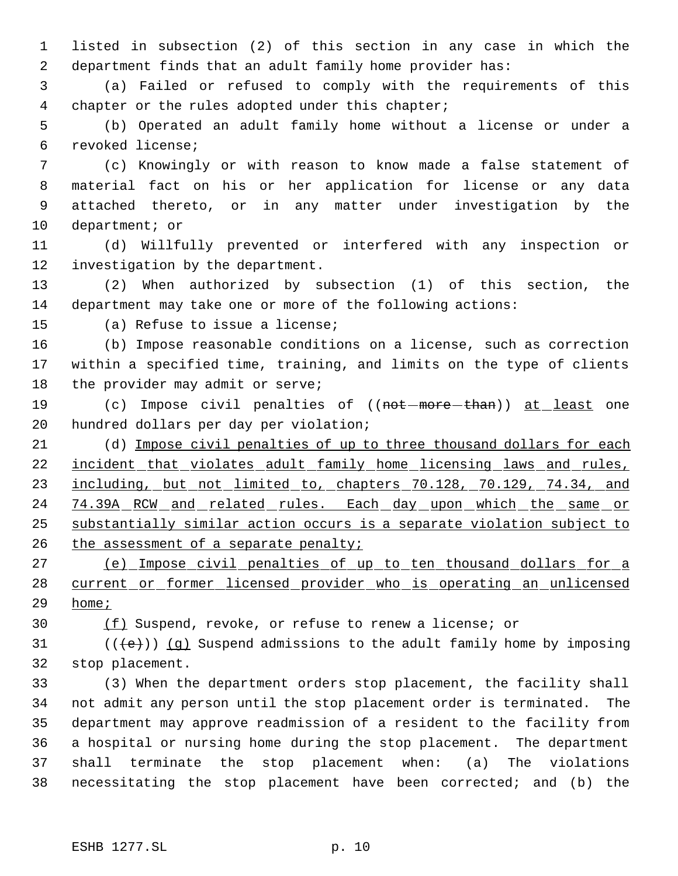listed in subsection (2) of this section in any case in which the department finds that an adult family home provider has:

 (a) Failed or refused to comply with the requirements of this chapter or the rules adopted under this chapter;

 (b) Operated an adult family home without a license or under a revoked license;

 (c) Knowingly or with reason to know made a false statement of material fact on his or her application for license or any data attached thereto, or in any matter under investigation by the department; or

 (d) Willfully prevented or interfered with any inspection or investigation by the department.

 (2) When authorized by subsection (1) of this section, the department may take one or more of the following actions:

(a) Refuse to issue a license;

 (b) Impose reasonable conditions on a license, such as correction within a specified time, training, and limits on the type of clients 18 the provider may admit or serve;

19 (c) Impose civil penalties of ((not-more-than)) at least one hundred dollars per day per violation;

 (d) Impose civil penalties of up to three thousand dollars for each 22 <u>incident that violates adult family home licensing laws and rules,</u> 23 including, but not limited to, chapters 70.128, 70.129, 74.34, and 24 74.39A RCW and related rules. Each day upon which the same or substantially similar action occurs is a separate violation subject to 26 the assessment of a separate penalty;

 (e) Impose civil penalties of up to ten thousand dollars for a current or former licensed provider who is operating an unlicensed home;

(f) Suspend, revoke, or refuse to renew a license; or

31 ( $(\langle e \rangle)$ ) (q) Suspend admissions to the adult family home by imposing stop placement.

 (3) When the department orders stop placement, the facility shall not admit any person until the stop placement order is terminated. The department may approve readmission of a resident to the facility from a hospital or nursing home during the stop placement. The department shall terminate the stop placement when: (a) The violations necessitating the stop placement have been corrected; and (b) the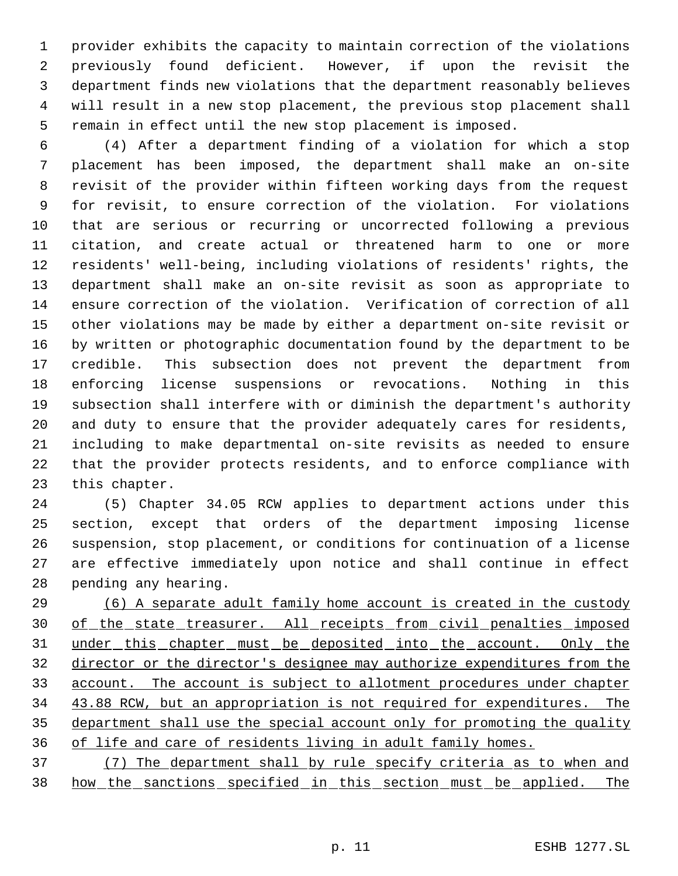provider exhibits the capacity to maintain correction of the violations previously found deficient. However, if upon the revisit the department finds new violations that the department reasonably believes will result in a new stop placement, the previous stop placement shall remain in effect until the new stop placement is imposed.

 (4) After a department finding of a violation for which a stop placement has been imposed, the department shall make an on-site revisit of the provider within fifteen working days from the request for revisit, to ensure correction of the violation. For violations that are serious or recurring or uncorrected following a previous citation, and create actual or threatened harm to one or more residents' well-being, including violations of residents' rights, the department shall make an on-site revisit as soon as appropriate to ensure correction of the violation. Verification of correction of all other violations may be made by either a department on-site revisit or by written or photographic documentation found by the department to be credible. This subsection does not prevent the department from enforcing license suspensions or revocations. Nothing in this subsection shall interfere with or diminish the department's authority and duty to ensure that the provider adequately cares for residents, including to make departmental on-site revisits as needed to ensure that the provider protects residents, and to enforce compliance with this chapter.

 (5) Chapter 34.05 RCW applies to department actions under this section, except that orders of the department imposing license suspension, stop placement, or conditions for continuation of a license are effective immediately upon notice and shall continue in effect pending any hearing.

 (6) A separate adult family home account is created in the custody 30 of the state treasurer. All receipts from civil penalties imposed 31 under this chapter must be deposited into the account. Only the director or the director's designee may authorize expenditures from the account. The account is subject to allotment procedures under chapter 43.88 RCW, but an appropriation is not required for expenditures. The department shall use the special account only for promoting the quality of life and care of residents living in adult family homes.

 (7) The department shall by rule specify criteria as to when and how the sanctions specified in this section must be applied. The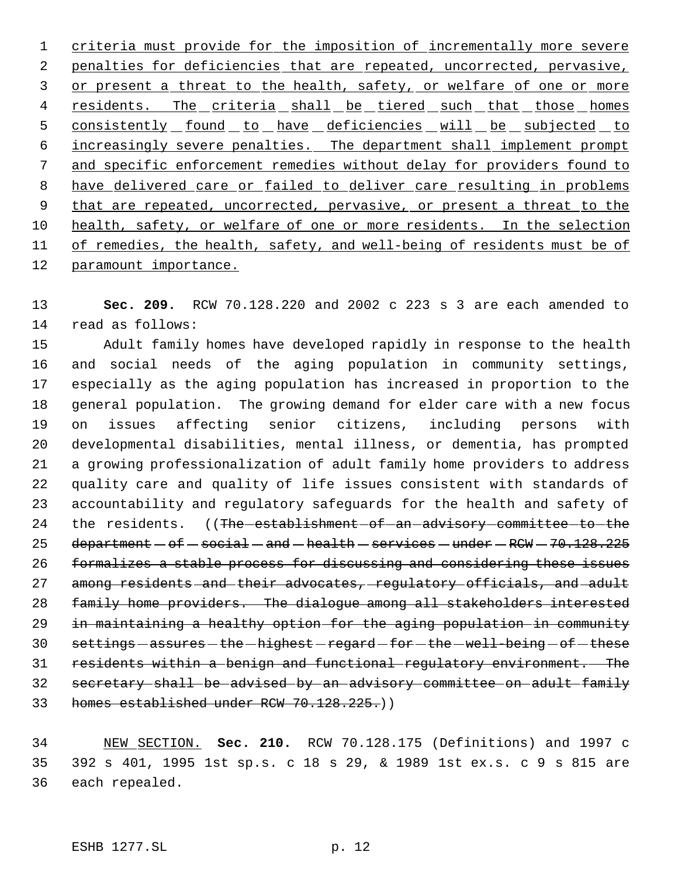criteria must provide for the imposition of incrementally more severe 2 penalties for deficiencies that are repeated, uncorrected, pervasive, 3 or present a threat to the health, safety, or welfare of one or more 4 residents. The criteria shall be tiered such that those homes 5 consistently found to have deficiencies will be subjected to increasingly severe penalties. The department shall implement prompt and specific enforcement remedies without delay for providers found to have delivered care or failed to deliver care resulting in problems 9 that are repeated, uncorrected, pervasive, or present a threat to the health, safety, or welfare of one or more residents. In the selection 11 of remedies, the health, safety, and well-being of residents must be of paramount importance.

 **Sec. 209.** RCW 70.128.220 and 2002 c 223 s 3 are each amended to read as follows:

 Adult family homes have developed rapidly in response to the health and social needs of the aging population in community settings, especially as the aging population has increased in proportion to the general population. The growing demand for elder care with a new focus on issues affecting senior citizens, including persons with developmental disabilities, mental illness, or dementia, has prompted a growing professionalization of adult family home providers to address quality care and quality of life issues consistent with standards of accountability and regulatory safeguards for the health and safety of 24 the residents. ((The establishment of an advisory committee to the 25 department  $-$  of  $-$  social  $-$  and  $-$  health  $-$  services  $-$  under  $-$  RCW  $-$  70.128.225 formalizes a stable process for discussing and considering these issues 27 among residents and their advocates, regulatory officials, and adult family home providers. The dialogue among all stakeholders interested in maintaining a healthy option for the aging population in community 30 settings - assures - the - highest - regard - for - the - well-being - of - these residents within a benign and functional regulatory environment. The secretary shall be advised by an advisory committee on adult family 33 homes established under RCW 70.128.225.)

 NEW SECTION. **Sec. 210.** RCW 70.128.175 (Definitions) and 1997 c 392 s 401, 1995 1st sp.s. c 18 s 29, & 1989 1st ex.s. c 9 s 815 are each repealed.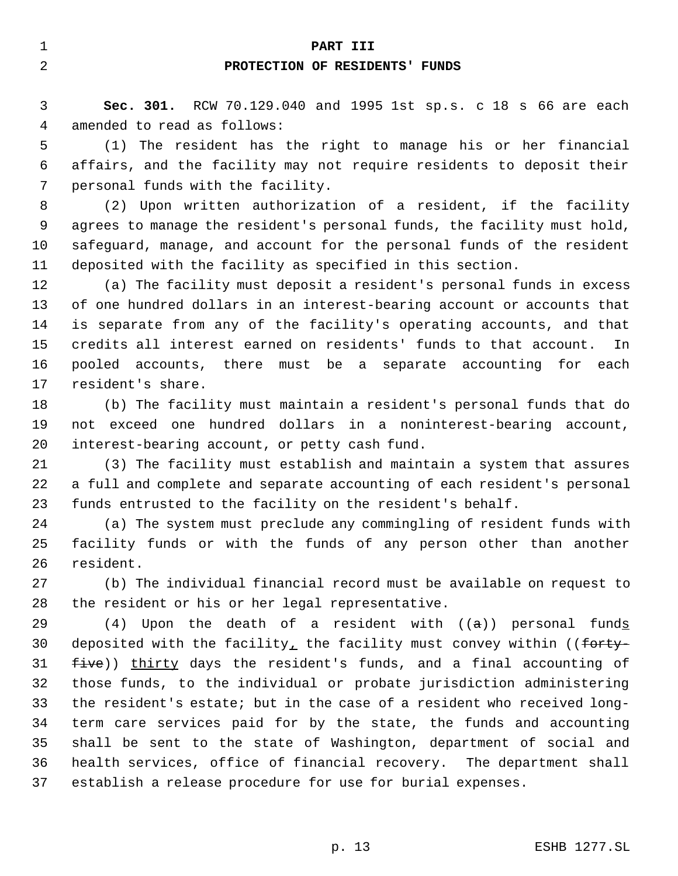#### **PART III**

# **PROTECTION OF RESIDENTS' FUNDS**

 **Sec. 301.** RCW 70.129.040 and 1995 1st sp.s. c 18 s 66 are each amended to read as follows:

 (1) The resident has the right to manage his or her financial affairs, and the facility may not require residents to deposit their personal funds with the facility.

 (2) Upon written authorization of a resident, if the facility agrees to manage the resident's personal funds, the facility must hold, safeguard, manage, and account for the personal funds of the resident deposited with the facility as specified in this section.

 (a) The facility must deposit a resident's personal funds in excess of one hundred dollars in an interest-bearing account or accounts that is separate from any of the facility's operating accounts, and that credits all interest earned on residents' funds to that account. In pooled accounts, there must be a separate accounting for each resident's share.

 (b) The facility must maintain a resident's personal funds that do not exceed one hundred dollars in a noninterest-bearing account, interest-bearing account, or petty cash fund.

 (3) The facility must establish and maintain a system that assures a full and complete and separate accounting of each resident's personal funds entrusted to the facility on the resident's behalf.

 (a) The system must preclude any commingling of resident funds with facility funds or with the funds of any person other than another resident.

 (b) The individual financial record must be available on request to the resident or his or her legal representative.

29 (4) Upon the death of a resident with  $((a))$  personal funds 30 deposited with the facility, the facility must convey within ((forty-31 five)) thirty days the resident's funds, and a final accounting of those funds, to the individual or probate jurisdiction administering the resident's estate; but in the case of a resident who received long- term care services paid for by the state, the funds and accounting shall be sent to the state of Washington, department of social and health services, office of financial recovery. The department shall establish a release procedure for use for burial expenses.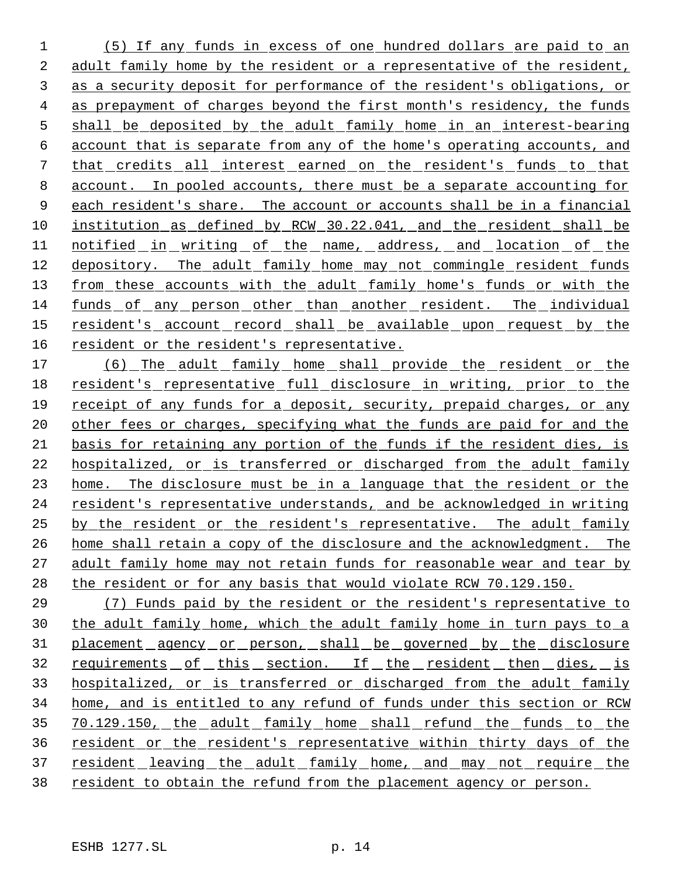(5) If any funds in excess of one hundred dollars are paid to an adult family home by the resident or a representative of the resident, as a security deposit for performance of the resident's obligations, or as prepayment of charges beyond the first month's residency, the funds shall be deposited by the adult family home in an interest-bearing account that is separate from any of the home's operating accounts, and that credits all interest earned on the resident's funds to that account. In pooled accounts, there must be a separate accounting for 9 each resident's share. The account or accounts shall be in a financial institution as defined by RCW 30.22.041, and the resident shall be 11 notified in writing of the name, address, and location of the depository. The adult family home may not commingle resident funds 13 from these accounts with the adult family home's funds or with the funds of any person other than another resident. The individual resident's account record shall be available upon request by the resident or the resident's representative.

17 (6) The adult family home shall provide the resident or the resident's representative full disclosure in writing, prior to the receipt of any funds for a deposit, security, prepaid charges, or any 20 other fees or charges, specifying what the funds are paid for and the basis for retaining any portion of the funds if the resident dies, is hospitalized, or is transferred or discharged from the adult family home. The disclosure must be in a language that the resident or the resident's representative understands, and be acknowledged in writing by the resident or the resident's representative. The adult family home shall retain a copy of the disclosure and the acknowledgment. The adult family home may not retain funds for reasonable wear and tear by the resident or for any basis that would violate RCW 70.129.150.

 (7) Funds paid by the resident or the resident's representative to the adult family home, which the adult family home in turn pays to a 31 placement agency or person, shall be governed by the disclosure requirements of this section. If the resident then dies, is hospitalized, or is transferred or discharged from the adult family home, and is entitled to any refund of funds under this section or RCW 70.129.150, the adult family home shall refund the funds to the resident or the resident's representative within thirty days of the 37 resident leaving the adult family home, and may not require the resident to obtain the refund from the placement agency or person.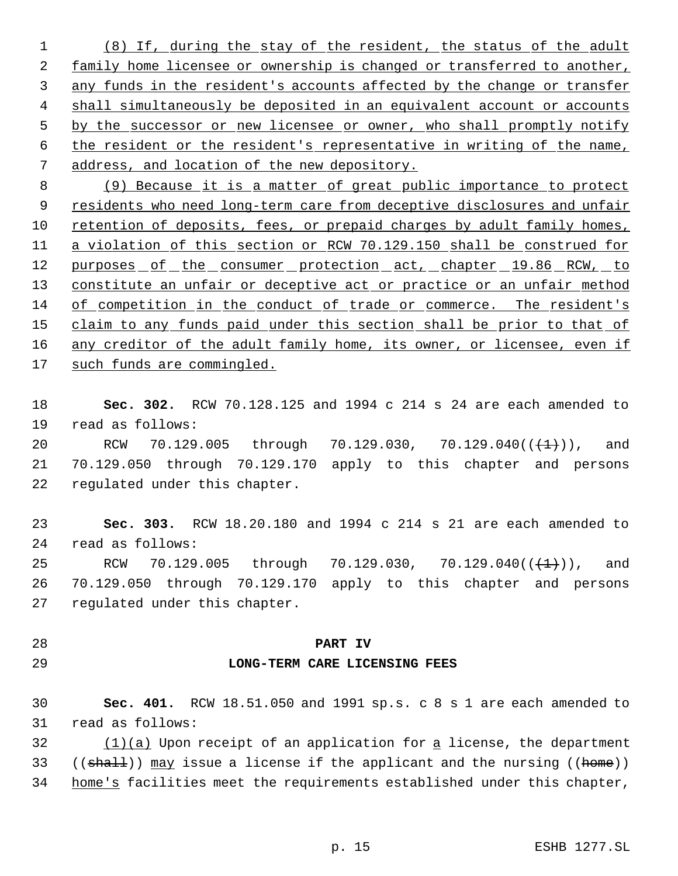(8) If, during the stay of the resident, the status of the adult family home licensee or ownership is changed or transferred to another, any funds in the resident's accounts affected by the change or transfer 4 shall simultaneously be deposited in an equivalent account or accounts 5 by the successor or new licensee or owner, who shall promptly notify the resident or the resident's representative in writing of the name, address, and location of the new depository.

 (9) Because it is a matter of great public importance to protect 9 residents who need long-term care from deceptive disclosures and unfair retention of deposits, fees, or prepaid charges by adult family homes, 11 a violation of this section or RCW 70.129.150 shall be construed for 12 purposes of the consumer protection act, chapter 19.86 RCW, to 13 constitute an unfair or deceptive act or practice or an unfair method of competition in the conduct of trade or commerce. The resident's 15 claim to any funds paid under this section shall be prior to that of 16 any creditor of the adult family home, its owner, or licensee, even if such funds are commingled.

 **Sec. 302.** RCW 70.128.125 and 1994 c 214 s 24 are each amended to read as follows:

20 RCW 70.129.005 through 70.129.030, 70.129.040 $((+1))$ , and 70.129.050 through 70.129.170 apply to this chapter and persons regulated under this chapter.

 **Sec. 303.** RCW 18.20.180 and 1994 c 214 s 21 are each amended to read as follows:

25 RCW 70.129.005 through 70.129.030, 70.129.040( $(\frac{+1}{+})$ ), and 70.129.050 through 70.129.170 apply to this chapter and persons regulated under this chapter.

### **PART IV**

## **LONG-TERM CARE LICENSING FEES**

 **Sec. 401.** RCW 18.51.050 and 1991 sp.s. c 8 s 1 are each amended to read as follows:

 (1)(a) Upon receipt of an application for a license, the department 33 ((shall)) may issue a license if the applicant and the nursing ((home)) 34 home's facilities meet the requirements established under this chapter,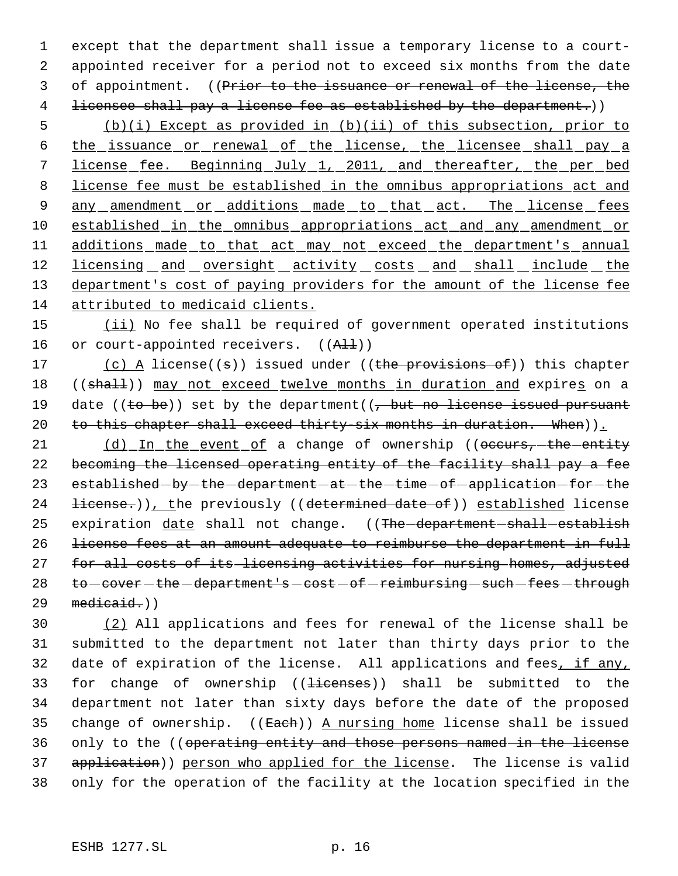1 except that the department shall issue a temporary license to a court- 2 appointed receiver for a period not to exceed six months from the date 3 of appointment. ((Prior to the issuance or renewal of the license, the 4 licensee shall pay a license fee as established by the department.))

 5 (b)(i) Except as provided in (b)(ii) of this subsection, prior to 6 the issuance or renewal of the license, the licensee shall pay a 7 license fee. Beginning July 1, 2011, and thereafter, the per bed 8 license fee must be established in the omnibus appropriations act and 9 any amendment or additions made to that act. The license fees 10 established in the omnibus appropriations act and any amendment or 11 additions made to that act may not exceed the department's annual 12 licensing and oversight activity costs and shall include the 13 department's cost of paying providers for the amount of the license fee 14 attributed to medicaid clients.

15 (ii) No fee shall be required of government operated institutions 16 or court-appointed receivers. ((All))

17 (c) A license((s)) issued under ((the provisions of)) this chapter 18 ((shall)) may not exceed twelve months in duration and expires on a 19 date ((to be)) set by the department( $\frac{1}{2}$  but no license issued pursuant 20 to this chapter shall exceed thirty-six months in duration. When)).

21 (d) In the event of a change of ownership ((occurs, the entity 22 becoming the licensed operating entity of the facility shall pay a fee 23 established - by - the - department - at - the - time - of - application - for - the 24 <del>license.</del>)), the previously ((determined date of)) established license 25 expiration date shall not change. ((The department shall establish 26 license fees at an amount adequate to reimburse the department in full 27 for all costs of its licensing activities for nursing homes, adjusted 28 to -cover - the -department's -cost - of -reimbursing - such -fees - through  $29$  medicaid.)

30 (2) All applications and fees for renewal of the license shall be 31 submitted to the department not later than thirty days prior to the 32 date of expiration of the license. All applications and fees, if any, 33 for change of ownership ((<del>licenses</del>)) shall be submitted to the 34 department not later than sixty days before the date of the proposed 35 change of ownership.  $((\text{Each}) )$  A nursing home license shall be issued 36 only to the ((operating entity and those persons named in the license 37 application)) person who applied for the license. The license is valid 38 only for the operation of the facility at the location specified in the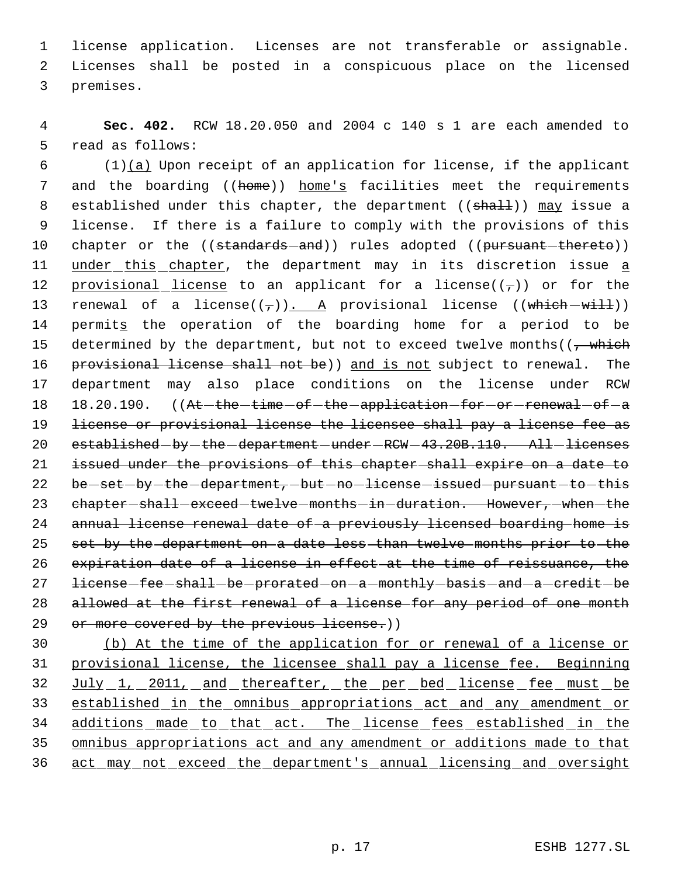1 license application. Licenses are not transferable or assignable. 2 Licenses shall be posted in a conspicuous place on the licensed 3 premises.

 4 **Sec. 402.** RCW 18.20.050 and 2004 c 140 s 1 are each amended to 5 read as follows:

6  $(1)(a)$  Upon receipt of an application for license, if the applicant 7 and the boarding ((home)) home's facilities meet the requirements 8 established under this chapter, the department ((shall)) may issue a 9 license. If there is a failure to comply with the provisions of this 10 chapter or the ((standards-and)) rules adopted ((pursuant-thereto)) 11 under this chapter, the department may in its discretion issue a 12 provisional license to an applicant for a license( $(\tau)$ ) or for the 13 renewal of a license( $(\tau)$ ). A provisional license ((which  $-wiH)$ ) 14 permits the operation of the boarding home for a period to be 15 determined by the department, but not to exceed twelve months( $\left(\frac{1}{f}\right)$  which 16 provisional license shall not be)) and is not subject to renewal. The 17 department may also place conditions on the license under RCW 18 18.20.190. ((At-the-time-of-the-application-for-or-renewal-of-a 19 license or provisional license the licensee shall pay a license fee as 20 established - by - the - department - under - RCW - 43.20B.110. All - licenses 21 issued under the provisions of this chapter shall expire on a date to 22 be-set-by-the-department, -but-no-license-issued-pursuant-to-this 23 chapter-shall-exceed-twelve-months-in-duration. However,-when-the 24 annual license renewal date of a previously licensed boarding home is 25 set by the department on a date less than twelve months prior to the 26 expiration date of a license in effect at the time of reissuance, the 27 license-fee-shall-be-prorated-on-a-monthly-basis-and-a-credit-be 28 allowed at the first renewal of a license for any period of one month 29 or more covered by the previous license.))

 (b) At the time of the application for or renewal of a license or provisional license, the licensee shall pay a license fee. Beginning July 1, 2011, and thereafter, the per bed license fee must be established in the omnibus appropriations act and any amendment or 34 additions made to that act. The license fees established in the omnibus appropriations act and any amendment or additions made to that act may not exceed the department's annual licensing and oversight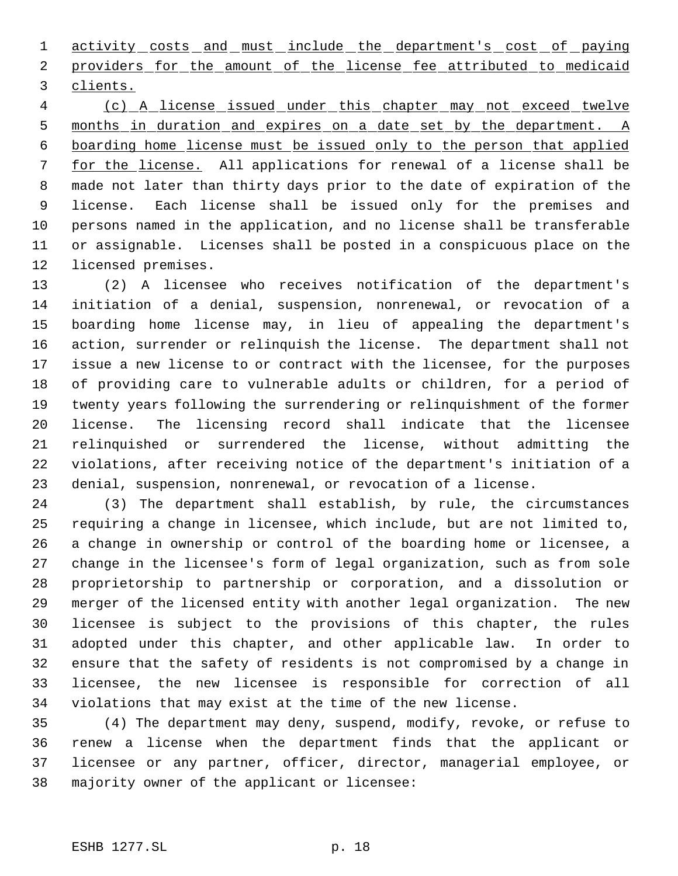1 activity costs and must include the department's cost of paying 2 providers for the amount of the license fee attributed to medicaid clients.

 (c) A license issued under this chapter may not exceed twelve months in duration and expires on a date set by the department. A boarding home license must be issued only to the person that applied for the license. All applications for renewal of a license shall be made not later than thirty days prior to the date of expiration of the license. Each license shall be issued only for the premises and persons named in the application, and no license shall be transferable or assignable. Licenses shall be posted in a conspicuous place on the licensed premises.

 (2) A licensee who receives notification of the department's initiation of a denial, suspension, nonrenewal, or revocation of a boarding home license may, in lieu of appealing the department's action, surrender or relinquish the license. The department shall not issue a new license to or contract with the licensee, for the purposes of providing care to vulnerable adults or children, for a period of twenty years following the surrendering or relinquishment of the former license. The licensing record shall indicate that the licensee relinquished or surrendered the license, without admitting the violations, after receiving notice of the department's initiation of a denial, suspension, nonrenewal, or revocation of a license.

 (3) The department shall establish, by rule, the circumstances requiring a change in licensee, which include, but are not limited to, a change in ownership or control of the boarding home or licensee, a change in the licensee's form of legal organization, such as from sole proprietorship to partnership or corporation, and a dissolution or merger of the licensed entity with another legal organization. The new licensee is subject to the provisions of this chapter, the rules adopted under this chapter, and other applicable law. In order to ensure that the safety of residents is not compromised by a change in licensee, the new licensee is responsible for correction of all violations that may exist at the time of the new license.

 (4) The department may deny, suspend, modify, revoke, or refuse to renew a license when the department finds that the applicant or licensee or any partner, officer, director, managerial employee, or majority owner of the applicant or licensee: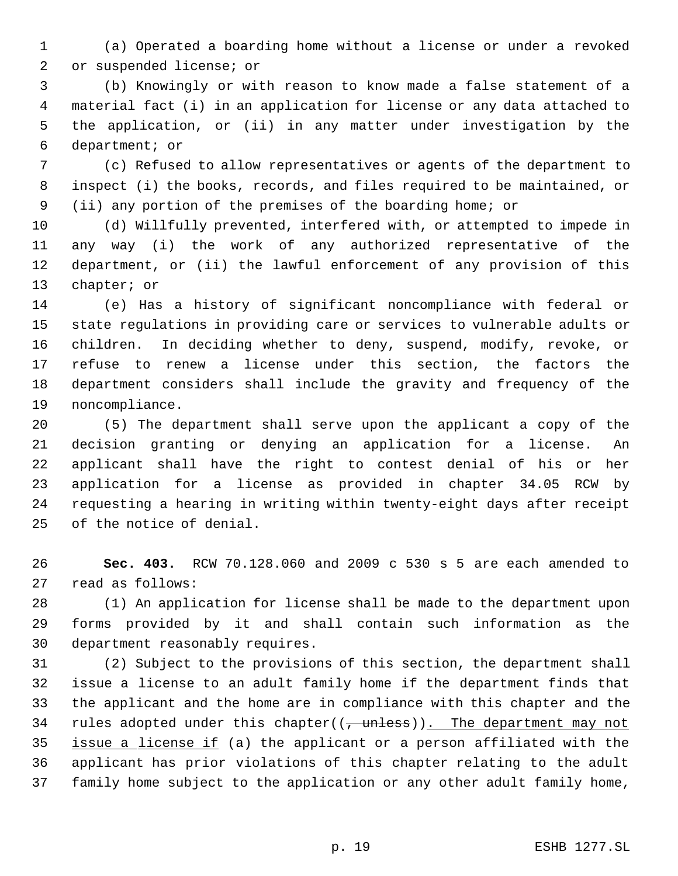(a) Operated a boarding home without a license or under a revoked or suspended license; or

 (b) Knowingly or with reason to know made a false statement of a material fact (i) in an application for license or any data attached to the application, or (ii) in any matter under investigation by the department; or

 (c) Refused to allow representatives or agents of the department to inspect (i) the books, records, and files required to be maintained, or (ii) any portion of the premises of the boarding home; or

 (d) Willfully prevented, interfered with, or attempted to impede in any way (i) the work of any authorized representative of the department, or (ii) the lawful enforcement of any provision of this chapter; or

 (e) Has a history of significant noncompliance with federal or state regulations in providing care or services to vulnerable adults or children. In deciding whether to deny, suspend, modify, revoke, or refuse to renew a license under this section, the factors the department considers shall include the gravity and frequency of the noncompliance.

 (5) The department shall serve upon the applicant a copy of the decision granting or denying an application for a license. An applicant shall have the right to contest denial of his or her application for a license as provided in chapter 34.05 RCW by requesting a hearing in writing within twenty-eight days after receipt of the notice of denial.

 **Sec. 403.** RCW 70.128.060 and 2009 c 530 s 5 are each amended to read as follows:

 (1) An application for license shall be made to the department upon forms provided by it and shall contain such information as the department reasonably requires.

 (2) Subject to the provisions of this section, the department shall issue a license to an adult family home if the department finds that the applicant and the home are in compliance with this chapter and the 34 rules adopted under this chapter( $(\tau$ unless)). The department may not issue a license if (a) the applicant or a person affiliated with the applicant has prior violations of this chapter relating to the adult family home subject to the application or any other adult family home,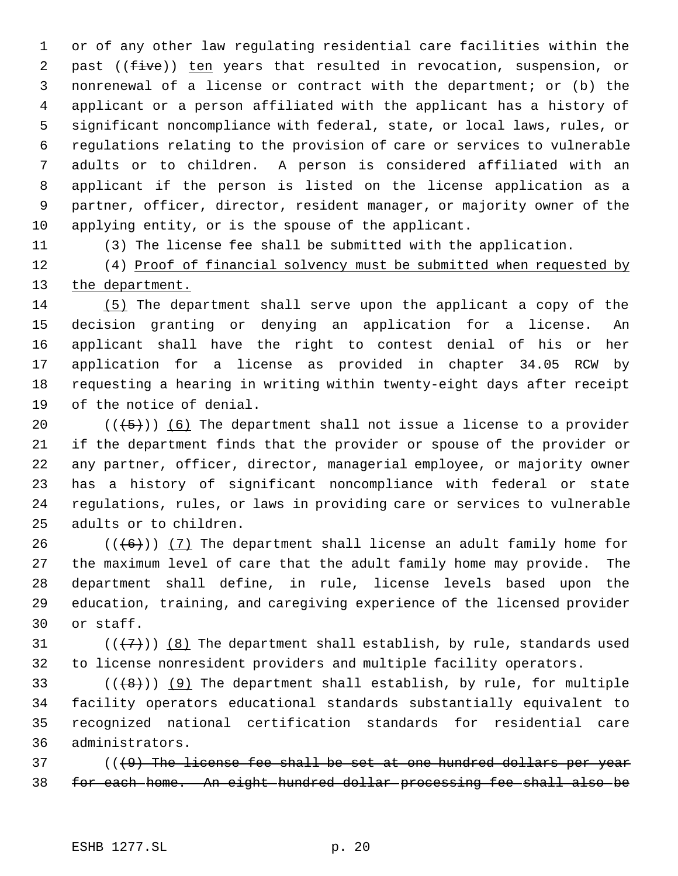or of any other law regulating residential care facilities within the 2 past ((five)) ten years that resulted in revocation, suspension, or nonrenewal of a license or contract with the department; or (b) the applicant or a person affiliated with the applicant has a history of significant noncompliance with federal, state, or local laws, rules, or regulations relating to the provision of care or services to vulnerable adults or to children. A person is considered affiliated with an applicant if the person is listed on the license application as a partner, officer, director, resident manager, or majority owner of the applying entity, or is the spouse of the applicant.

(3) The license fee shall be submitted with the application.

12 (4) Proof of financial solvency must be submitted when requested by 13 the department.

 (5) The department shall serve upon the applicant a copy of the decision granting or denying an application for a license. An applicant shall have the right to contest denial of his or her application for a license as provided in chapter 34.05 RCW by requesting a hearing in writing within twenty-eight days after receipt of the notice of denial.

 $((+5))$  (6) The department shall not issue a license to a provider if the department finds that the provider or spouse of the provider or any partner, officer, director, managerial employee, or majority owner has a history of significant noncompliance with federal or state regulations, rules, or laws in providing care or services to vulnerable adults or to children.

 $((+6))$   $(7)$  The department shall license an adult family home for the maximum level of care that the adult family home may provide. The department shall define, in rule, license levels based upon the education, training, and caregiving experience of the licensed provider or staff.

31 ( $(\langle 7 \rangle)$  (8) The department shall establish, by rule, standards used to license nonresident providers and multiple facility operators.

 $((+8))$  (9) The department shall establish, by rule, for multiple facility operators educational standards substantially equivalent to recognized national certification standards for residential care administrators.

 ( $(49)$  The license fee shall be set at one hundred dollars per year for each home. An eight hundred dollar processing fee shall also be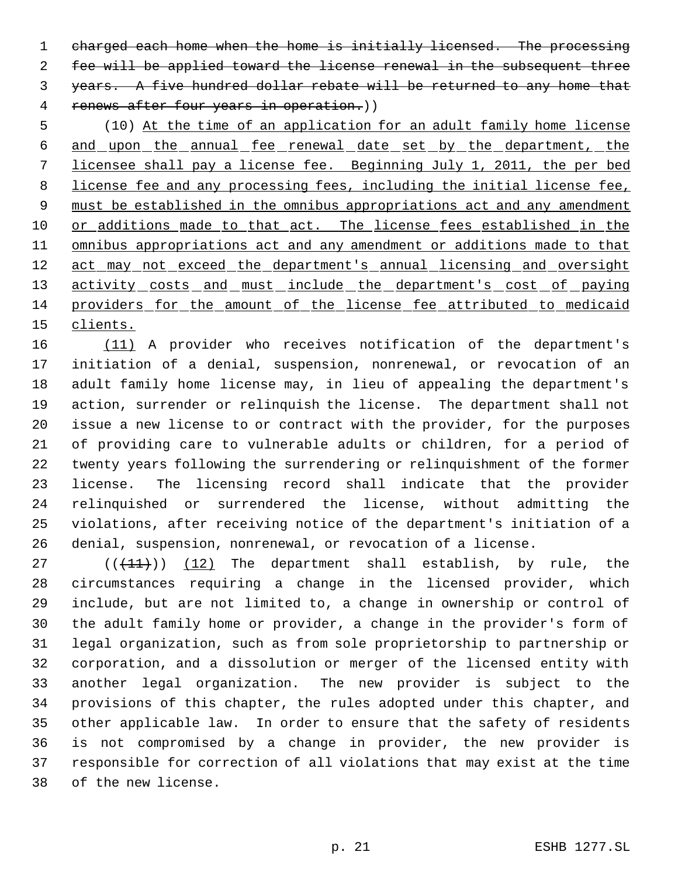1 charged each home when the home is initially licensed. The processing fee will be applied toward the license renewal in the subsequent three years. A five hundred dollar rebate will be returned to any home that 4 renews after four years in operation.))

 (10) At the time of an application for an adult family home license and upon the annual fee renewal date set by the department, the licensee shall pay a license fee. Beginning July 1, 2011, the per bed 8 license fee and any processing fees, including the initial license fee, 9 must be established in the omnibus appropriations act and any amendment 10 or additions made to that act. The license fees established in the 11 omnibus appropriations act and any amendment or additions made to that 12 act may not exceed the department's annual licensing and oversight 13 activity costs and must include the department's cost of paying providers for the amount of the license fee attributed to medicaid clients.

 (11) A provider who receives notification of the department's initiation of a denial, suspension, nonrenewal, or revocation of an adult family home license may, in lieu of appealing the department's action, surrender or relinquish the license. The department shall not issue a new license to or contract with the provider, for the purposes of providing care to vulnerable adults or children, for a period of twenty years following the surrendering or relinquishment of the former license. The licensing record shall indicate that the provider relinquished or surrendered the license, without admitting the violations, after receiving notice of the department's initiation of a denial, suspension, nonrenewal, or revocation of a license.

 $((+11))$   $(12)$  The department shall establish, by rule, the circumstances requiring a change in the licensed provider, which include, but are not limited to, a change in ownership or control of the adult family home or provider, a change in the provider's form of legal organization, such as from sole proprietorship to partnership or corporation, and a dissolution or merger of the licensed entity with another legal organization. The new provider is subject to the provisions of this chapter, the rules adopted under this chapter, and other applicable law. In order to ensure that the safety of residents is not compromised by a change in provider, the new provider is responsible for correction of all violations that may exist at the time of the new license.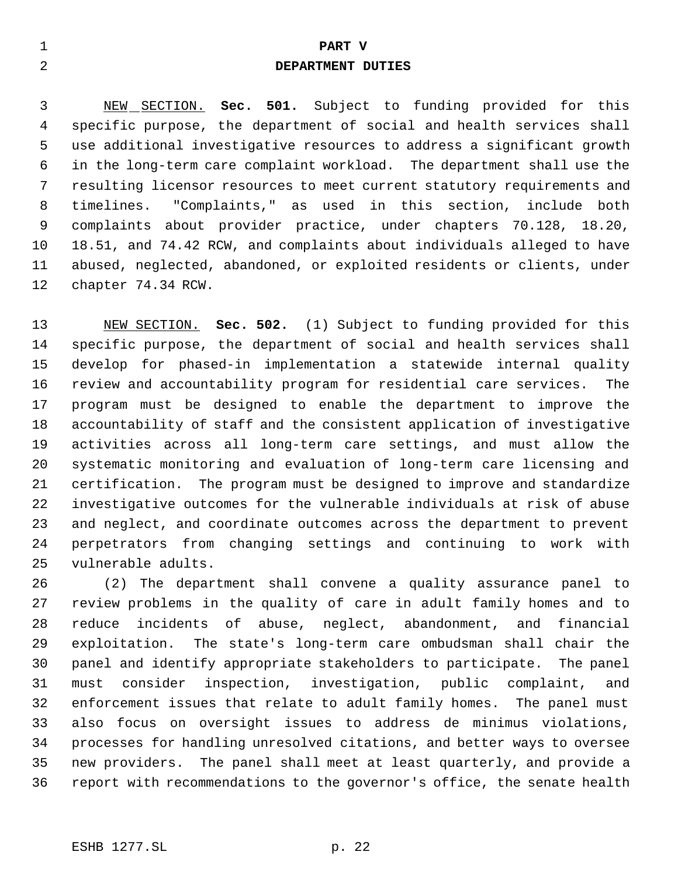# **PART V**

## **DEPARTMENT DUTIES**

 NEW SECTION. **Sec. 501.** Subject to funding provided for this specific purpose, the department of social and health services shall use additional investigative resources to address a significant growth in the long-term care complaint workload. The department shall use the resulting licensor resources to meet current statutory requirements and timelines. "Complaints," as used in this section, include both complaints about provider practice, under chapters 70.128, 18.20, 18.51, and 74.42 RCW, and complaints about individuals alleged to have abused, neglected, abandoned, or exploited residents or clients, under chapter 74.34 RCW.

 NEW SECTION. **Sec. 502.** (1) Subject to funding provided for this specific purpose, the department of social and health services shall develop for phased-in implementation a statewide internal quality review and accountability program for residential care services. The program must be designed to enable the department to improve the accountability of staff and the consistent application of investigative activities across all long-term care settings, and must allow the systematic monitoring and evaluation of long-term care licensing and certification. The program must be designed to improve and standardize investigative outcomes for the vulnerable individuals at risk of abuse and neglect, and coordinate outcomes across the department to prevent perpetrators from changing settings and continuing to work with vulnerable adults.

 (2) The department shall convene a quality assurance panel to review problems in the quality of care in adult family homes and to reduce incidents of abuse, neglect, abandonment, and financial exploitation. The state's long-term care ombudsman shall chair the panel and identify appropriate stakeholders to participate. The panel must consider inspection, investigation, public complaint, and enforcement issues that relate to adult family homes. The panel must also focus on oversight issues to address de minimus violations, processes for handling unresolved citations, and better ways to oversee new providers. The panel shall meet at least quarterly, and provide a report with recommendations to the governor's office, the senate health